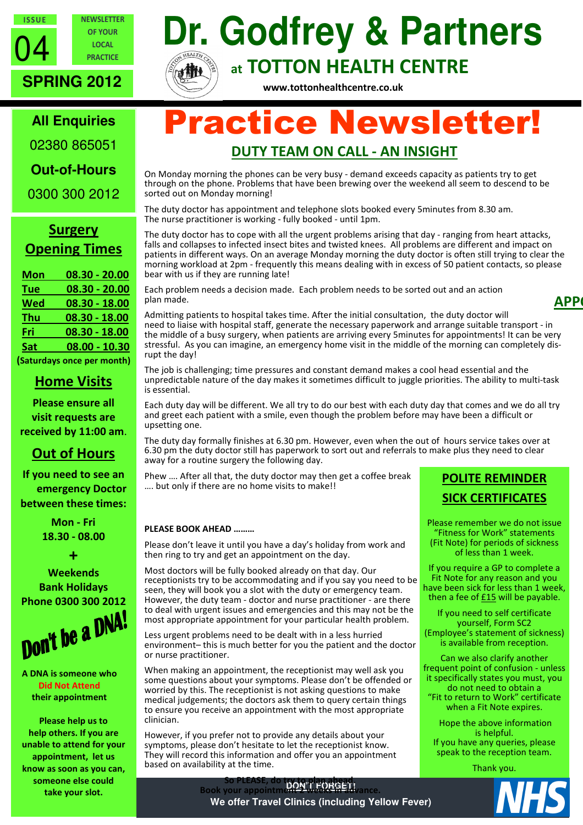

OF YOUR LOCAL **PRACTICE** 

**NEWSLETTER** 

# **Dr. Godfrey & Partners**  at TOTTON HEALTH CENTRE

www.tottonhealthcentre.co.uk

# **All Enquiries**

**SPRING 2012** 

02380 865051

**Out-of-Hours** 

0300 300 2012

# **Surgery** Opening Times

| <b>Mon</b>                                                                                                                                                                                                                         | $08.30 - 20.00$ |
|------------------------------------------------------------------------------------------------------------------------------------------------------------------------------------------------------------------------------------|-----------------|
| <b>Tue</b>                                                                                                                                                                                                                         | 08.30 - 20.00   |
| <b>Wed</b>                                                                                                                                                                                                                         | $08.30 - 18.00$ |
| <u>Thu</u>                                                                                                                                                                                                                         | 08.30 - 18.00   |
| Fri                                                                                                                                                                                                                                | 08.30 - 18.00   |
| Sat                                                                                                                                                                                                                                | $08.00 - 10.30$ |
| $\mathcal{L}$ . The set of the set of the set of the set of the set of the set of the set of the set of the set of the set of the set of the set of the set of the set of the set of the set of the set of the set of the set of t |                 |

(Saturdays once per month)

## Home Visits

Please ensure all visit requests are received by 11:00 am.

# Out of Hours

If you need to see an emergency Doctor between these times:

> Mon - Fri 18.30 - 08.00

+ Weekends Bank Holidays

Phone 0300 300 2012

A DNA is someone who Did Not Attend their appointment

Please help us to help others. If you are unable to attend for your appointment, let us know as soon as you can, someone else could take your slot.

# Practice Newsletter! DUTY TEAM ON CALL - AN INSIGHT

On Monday morning the phones can be very busy - demand exceeds capacity as patients try to get through on the phone. Problems that have been brewing over the weekend all seem to descend to be sorted out on Monday morning!

The duty doctor has appointment and telephone slots booked every 5minutes from 8.30 am. The nurse practitioner is working - fully booked - until 1pm.

The duty doctor has to cope with all the urgent problems arising that day - ranging from heart attacks, falls and collapses to infected insect bites and twisted knees. All problems are different and impact on patients in different ways. On an average Monday morning the duty doctor is often still trying to clear the morning workload at 2pm - frequently this means dealing with in excess of 50 patient contacts, so please bear with us if they are running late!

Each problem needs a decision made. Each problem needs to be sorted out and an action plan made.

Admitting patients to hospital takes time. After the initial consultation, the duty doctor will need to liaise with hospital staff, generate the necessary paperwork and arrange suitable transport - in the middle of a busy surgery, when patients are arriving every 5minutes for appointments! It can be very stressful. As you can imagine, an emergency home visit in the middle of the morning can completely disrupt the day!

The job is challenging; time pressures and constant demand makes a cool head essential and the unpredictable nature of the day makes it sometimes difficult to juggle priorities. The ability to multi-task is essential.

Each duty day will be different. We all try to do our best with each duty day that comes and we do all try and greet each patient with a smile, even though the problem before may have been a difficult or upsetting one.

The duty day formally finishes at 6.30 pm. However, even when the out of hours service takes over at 6.30 pm the duty doctor still has paperwork to sort out and referrals to make plus they need to clear away for a routine surgery the following day.

Phew …. After all that, the duty doctor may then get a coffee break …. but only if there are no home visits to make!!

#### PLEASE BOOK AHEAD ………

Please don't leave it until you have a day's holiday from work and then ring to try and get an appointment on the day.

Most doctors will be fully booked already on that day. Our receptionists try to be accommodating and if you say you need to be seen, they will book you a slot with the duty or emergency team. However, the duty team - doctor and nurse practitioner - are there to deal with urgent issues and emergencies and this may not be the most appropriate appointment for your particular health problem.

Less urgent problems need to be dealt with in a less hurried environment– this is much better for you the patient and the doctor or nurse practitioner.

When making an appointment, the receptionist may well ask you some questions about your symptoms. Please don't be offended or worried by this. The receptionist is not asking questions to make medical judgements; the doctors ask them to query certain things to ensure you receive an appointment with the most appropriate clinician.

However, if you prefer not to provide any details about your symptoms, please don't hesitate to let the receptionist know. They will record this information and offer you an appointment based on availability at the time.

**DON'T FORGET!**<br>
Book your annointm pony for force!

# POLITE REMINDER SICK CERTIFICATES

**APP** 

Please remember we do not issue "Fitness for Work" statements (Fit Note) for periods of sickness of less than 1 week.

If you require a GP to complete a Fit Note for any reason and you have been sick for less than 1 week, then a fee of  $£15$  will be payable.

If you need to self certificate yourself, Form SC2 (Employee's statement of sickness) is available from reception.

Can we also clarify another frequent point of confusion - unless it specifically states you must, you do not need to obtain a "Fit to return to Work" certificate when a Fit Note expires.

Hope the above information is helpful. If you have any queries, please

speak to the reception team. Thank you.



**We offer Travel Clinics (including Yellow Fever)**  Book your appointment 2 weeks in advance.